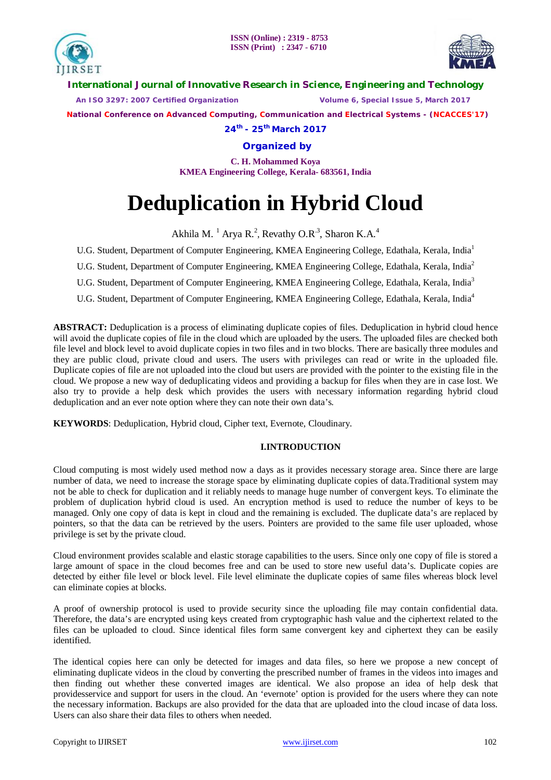



**International Journal of Innovative Research in Science, Engineering and Technology**

 *An ISO 3297: 2007 Certified Organization Volume 6, Special Issue 5, March 2017*

 **National Conference on Advanced Computing, Communication and Electrical Systems - (NCACCES'17)**

**24th - 25th March 2017**

**Organized by**

**C. H. Mohammed Koya KMEA Engineering College, Kerala- 683561, India** 

# **Deduplication in Hybrid Cloud**

Akhila M.  $^{1}$  Arya R.<sup>2</sup>, Revathy O.R<sup>.3</sup>, Sharon K.A.<sup>4</sup>

U.G. Student, Department of Computer Engineering, KMEA Engineering College, Edathala, Kerala, India<sup>1</sup>

U.G. Student, Department of Computer Engineering, KMEA Engineering College, Edathala, Kerala, India<sup>2</sup>

U.G. Student, Department of Computer Engineering, KMEA Engineering College, Edathala, Kerala, India<sup>3</sup>

U.G. Student, Department of Computer Engineering, KMEA Engineering College, Edathala, Kerala, India<sup>4</sup>

**ABSTRACT:** Deduplication is a process of eliminating duplicate copies of files. Deduplication in hybrid cloud hence will avoid the duplicate copies of file in the cloud which are uploaded by the users. The uploaded files are checked both file level and block level to avoid duplicate copies in two files and in two blocks. There are basically three modules and they are public cloud, private cloud and users. The users with privileges can read or write in the uploaded file. Duplicate copies of file are not uploaded into the cloud but users are provided with the pointer to the existing file in the cloud. We propose a new way of deduplicating videos and providing a backup for files when they are in case lost. We also try to provide a help desk which provides the users with necessary information regarding hybrid cloud deduplication and an ever note option where they can note their own data's.

**KEYWORDS**: Deduplication, Hybrid cloud, Cipher text, Evernote, Cloudinary.

### **I.INTRODUCTION**

Cloud computing is most widely used method now a days as it provides necessary storage area. Since there are large number of data, we need to increase the storage space by eliminating duplicate copies of data.Traditional system may not be able to check for duplication and it reliably needs to manage huge number of convergent keys. To eliminate the problem of duplication hybrid cloud is used. An encryption method is used to reduce the number of keys to be managed. Only one copy of data is kept in cloud and the remaining is excluded. The duplicate data's are replaced by pointers, so that the data can be retrieved by the users. Pointers are provided to the same file user uploaded, whose privilege is set by the private cloud.

Cloud environment provides scalable and elastic storage capabilities to the users. Since only one copy of file is stored a large amount of space in the cloud becomes free and can be used to store new useful data's. Duplicate copies are detected by either file level or block level. File level eliminate the duplicate copies of same files whereas block level can eliminate copies at blocks.

A proof of ownership protocol is used to provide security since the uploading file may contain confidential data. Therefore, the data's are encrypted using keys created from cryptographic hash value and the ciphertext related to the files can be uploaded to cloud. Since identical files form same convergent key and ciphertext they can be easily identified.

The identical copies here can only be detected for images and data files, so here we propose a new concept of eliminating duplicate videos in the cloud by converting the prescribed number of frames in the videos into images and then finding out whether these converted images are identical. We also propose an idea of help desk that providesservice and support for users in the cloud. An 'evernote' option is provided for the users where they can note the necessary information. Backups are also provided for the data that are uploaded into the cloud incase of data loss. Users can also share their data files to others when needed.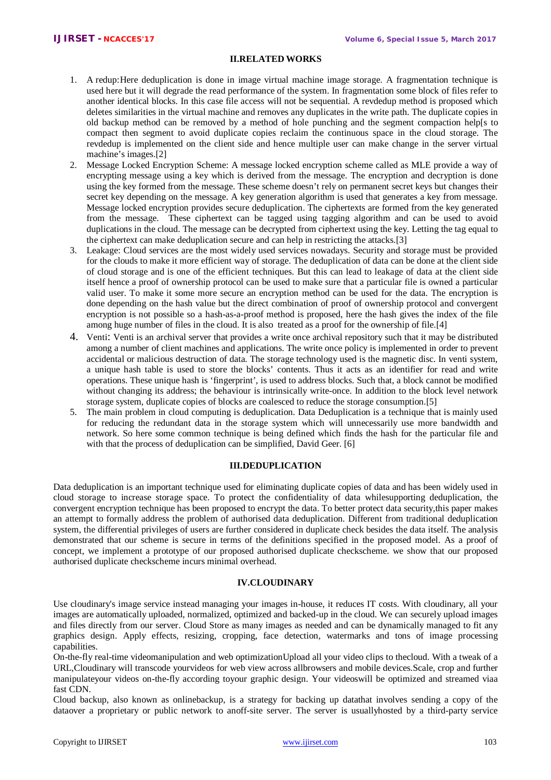# **II.RELATED WORKS**

- 1. A redup:Here deduplication is done in image virtual machine image storage. A fragmentation technique is used here but it will degrade the read performance of the system. In fragmentation some block of files refer to another identical blocks. In this case file access will not be sequential. A revdedup method is proposed which deletes similarities in the virtual machine and removes any duplicates in the write path. The duplicate copies in old backup method can be removed by a method of hole punching and the segment compaction help[s to compact then segment to avoid duplicate copies reclaim the continuous space in the cloud storage. The revdedup is implemented on the client side and hence multiple user can make change in the server virtual machine's images.[2]
- 2. Message Locked Encryption Scheme: A message locked encryption scheme called as MLE provide a way of encrypting message using a key which is derived from the message. The encryption and decryption is done using the key formed from the message. These scheme doesn't rely on permanent secret keys but changes their secret key depending on the message. A key generation algorithm is used that generates a key from message. Message locked encryption provides secure deduplication. The ciphertexts are formed from the key generated from the message. These ciphertext can be tagged using tagging algorithm and can be used to avoid duplications in the cloud. The message can be decrypted from ciphertext using the key. Letting the tag equal to the ciphertext can make deduplication secure and can help in restricting the attacks.[3]
- 3. Leakage: Cloud services are the most widely used services nowadays. Security and storage must be provided for the clouds to make it more efficient way of storage. The deduplication of data can be done at the client side of cloud storage and is one of the efficient techniques. But this can lead to leakage of data at the client side itself hence a proof of ownership protocol can be used to make sure that a particular file is owned a particular valid user. To make it some more secure an encryption method can be used for the data. The encryption is done depending on the hash value but the direct combination of proof of ownership protocol and convergent encryption is not possible so a hash-as-a-proof method is proposed, here the hash gives the index of the file among huge number of files in the cloud. It is also treated as a proof for the ownership of file.[4]
- 4. Venti: Venti is an archival server that provides a write once archival repository such that it may be distributed among a number of client machines and applications. The write once policy is implemented in order to prevent accidental or malicious destruction of data. The storage technology used is the magnetic disc. In venti system, a unique hash table is used to store the blocks' contents. Thus it acts as an identifier for read and write operations. These unique hash is 'fingerprint', is used to address blocks. Such that, a block cannot be modified without changing its address; the behaviour is intrinsically write-once. In addition to the block level network storage system, duplicate copies of blocks are coalesced to reduce the storage consumption.[5]
- 5. The main problem in cloud computing is deduplication. Data Deduplication is a technique that is mainly used for reducing the redundant data in the storage system which will unnecessarily use more bandwidth and network. So here some common technique is being defined which finds the hash for the particular file and with that the process of deduplication can be simplified, David Geer. [6]

### **III.DEDUPLICATION**

Data deduplication is an important technique used for eliminating duplicate copies of data and has been widely used in cloud storage to increase storage space. To protect the confidentiality of data whilesupporting deduplication, the convergent encryption technique has been proposed to encrypt the data. To better protect data security,this paper makes an attempt to formally address the problem of authorised data deduplication. Different from traditional deduplication system, the differential privileges of users are further considered in duplicate check besides the data itself. The analysis demonstrated that our scheme is secure in terms of the definitions specified in the proposed model. As a proof of concept, we implement a prototype of our proposed authorised duplicate checkscheme. we show that our proposed authorised duplicate checkscheme incurs minimal overhead.

## **IV.CLOUDINARY**

Use cloudinary's image service instead managing your images in-house, it reduces IT costs. With cloudinary, all your images are automatically uploaded, normalized, optimized and backed-up in the cloud. We can securely upload images and files directly from our server. Cloud Store as many images as needed and can be dynamically managed to fit any graphics design. Apply effects, resizing, cropping, face detection, watermarks and tons of image processing capabilities.

On-the-fly real-time videomanipulation and web optimizationUpload all your video clips to thecloud. With a tweak of a URL,Cloudinary will transcode yourvideos for web view across allbrowsers and mobile devices.Scale, crop and further manipulateyour videos on-the-fly according toyour graphic design. Your videoswill be optimized and streamed viaa fast CDN.

Cloud backup, also known as onlinebackup, is a strategy for backing up datathat involves sending a copy of the dataover a proprietary or public network to anoff-site server. The server is usuallyhosted by a third-party service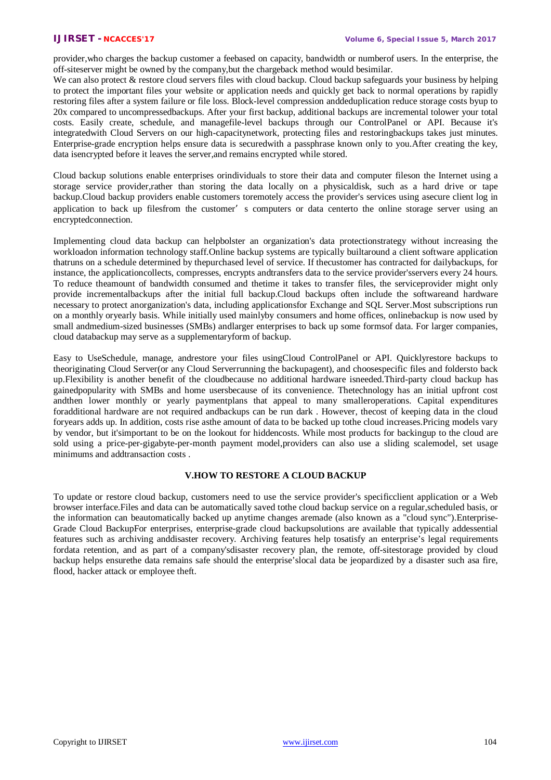provider,who charges the backup customer a feebased on capacity, bandwidth or numberof users. In the enterprise, the off-siteserver might be owned by the company,but the chargeback method would besimilar.

We can also protect & restore cloud servers files with cloud backup. Cloud backup safeguards your business by helping to protect the important files your website or application needs and quickly get back to normal operations by rapidly restoring files after a system failure or file loss. Block-level compression anddeduplication reduce storage costs byup to 20x compared to uncompressedbackups. After your first backup, additional backups are incremental tolower your total costs. Easily create, schedule, and managefile-level backups through our ControlPanel or API. Because it's integratedwith Cloud Servers on our high-capacitynetwork, protecting files and restoringbackups takes just minutes. Enterprise-grade encryption helps ensure data is securedwith a passphrase known only to you.After creating the key, data isencrypted before it leaves the server,and remains encrypted while stored.

Cloud backup solutions enable enterprises orindividuals to store their data and computer fileson the Internet using a storage service provider,rather than storing the data locally on a physicaldisk, such as a hard drive or tape backup.Cloud backup providers enable customers toremotely access the provider's services using asecure client log in application to back up filesfrom the customer's computers or data centerto the online storage server using an encryptedconnection.

Implementing cloud data backup can helpbolster an organization's data protectionstrategy without increasing the workloadon information technology staff.Online backup systems are typically builtaround a client software application thatruns on a schedule determined by thepurchased level of service. If thecustomer has contracted for dailybackups, for instance, the applicationcollects, compresses, encrypts andtransfers data to the service provider'sservers every 24 hours. To reduce theamount of bandwidth consumed and thetime it takes to transfer files, the serviceprovider might only provide incrementalbackups after the initial full backup.Cloud backups often include the softwareand hardware necessary to protect anorganization's data, including applicationsfor Exchange and SQL Server.Most subscriptions run on a monthly oryearly basis. While initially used mainlyby consumers and home offices, onlinebackup is now used by small andmedium-sized businesses (SMBs) andlarger enterprises to back up some formsof data. For larger companies, cloud databackup may serve as a supplementaryform of backup.

Easy to UseSchedule, manage, andrestore your files usingCloud ControlPanel or API. Quicklyrestore backups to theoriginating Cloud Server(or any Cloud Serverrunning the backupagent), and choosespecific files and foldersto back up.Flexibility is another benefit of the cloudbecause no additional hardware isneeded.Third-party cloud backup has gainedpopularity with SMBs and home usersbecause of its convenience. Thetechnology has an initial upfront cost andthen lower monthly or yearly paymentplans that appeal to many smalleroperations. Capital expenditures foradditional hardware are not required andbackups can be run dark . However, thecost of keeping data in the cloud foryears adds up. In addition, costs rise asthe amount of data to be backed up tothe cloud increases.Pricing models vary by vendor, but it'simportant to be on the lookout for hiddencosts. While most products for backingup to the cloud are sold using a price-per-gigabyte-per-month payment model,providers can also use a sliding scalemodel, set usage minimums and addtransaction costs .

# **V.HOW TO RESTORE A CLOUD BACKUP**

To update or restore cloud backup, customers need to use the service provider's specificclient application or a Web browser interface.Files and data can be automatically saved tothe cloud backup service on a regular,scheduled basis, or the information can beautomatically backed up anytime changes aremade (also known as a "cloud sync").Enterprise-Grade Cloud BackupFor enterprises, enterprise-grade cloud backupsolutions are available that typically addessential features such as archiving anddisaster recovery. Archiving features help tosatisfy an enterprise's legal requirements fordata retention, and as part of a company'sdisaster recovery plan, the remote, off-sitestorage provided by cloud backup helps ensurethe data remains safe should the enterprise'slocal data be jeopardized by a disaster such asa fire, flood, hacker attack or employee theft.